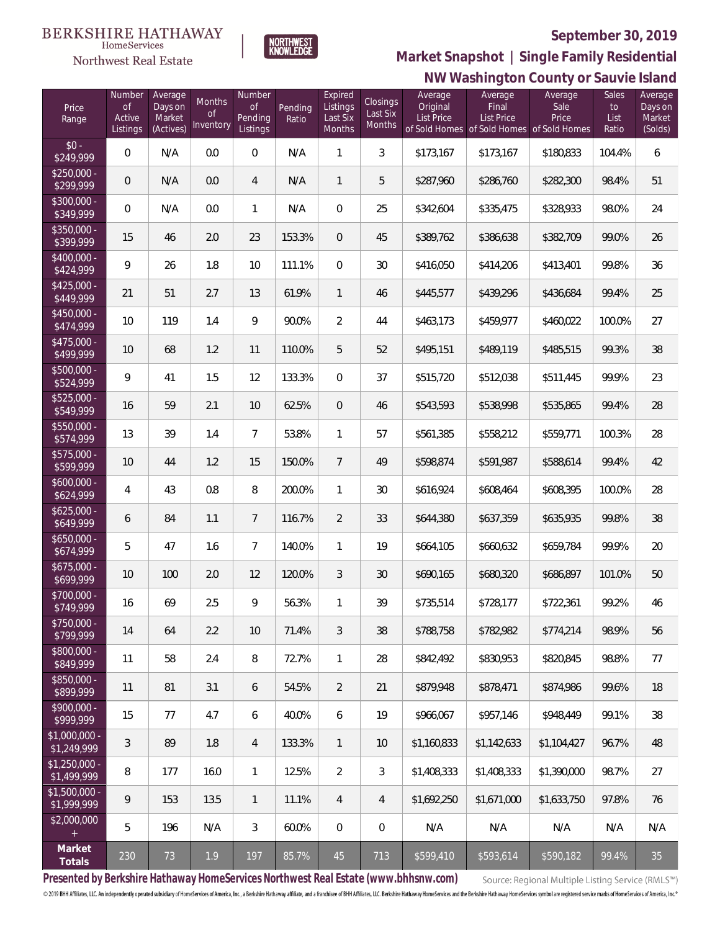

NORTHWEST<br>KNOWLEDGE

Northwest Real Estate

# **NW Washington County or Sauvie Island Market Snapshot | Single Family Residential**

| Price<br>Range                | Number<br><b>of</b><br>Active<br>Listings | Average<br>Days on<br>Market<br>(Actives) | <b>Months</b><br>Οf<br>Inventory | Number<br><b>of</b><br>Pending<br>Listings | Pending<br>Ratio | Expired<br>Listings<br>Last Six<br>Months | <b>Closings</b><br>Last Six<br>Months | Average<br>Original<br><b>List Price</b> | Average<br>Final<br><b>List Price</b><br>of Sold Homes of Sold Homes of Sold Homes | Average<br>Sale<br>Price | Sales<br>to<br>List<br>Ratio | Average<br>Days on<br>Market<br>(Solds) |
|-------------------------------|-------------------------------------------|-------------------------------------------|----------------------------------|--------------------------------------------|------------------|-------------------------------------------|---------------------------------------|------------------------------------------|------------------------------------------------------------------------------------|--------------------------|------------------------------|-----------------------------------------|
| $$0 -$<br>\$249,999           | $\overline{0}$                            | N/A                                       | 0.0                              | $\overline{0}$                             | N/A              | 1                                         | 3                                     | \$173,167                                | \$173,167                                                                          | \$180,833                | 104.4%                       | 6                                       |
| $$250,000 -$<br>\$299,999     | 0                                         | N/A                                       | 0.0                              | 4                                          | N/A              | $\mathbf{1}$                              | 5                                     | \$287,960                                | \$286,760                                                                          | \$282,300                | 98.4%                        | 51                                      |
| \$300,000 -<br>\$349,999      | $\overline{0}$                            | N/A                                       | 0.0                              | $\mathbf{1}$                               | N/A              | $\overline{0}$                            | 25                                    | \$342,604                                | \$335,475                                                                          | \$328,933                | 98.0%                        | 24                                      |
| $$350,000 -$<br>\$399,999     | 15                                        | 46                                        | 2.0                              | 23                                         | 153.3%           | $\overline{0}$                            | 45                                    | \$389,762                                | \$386,638                                                                          | \$382,709                | 99.0%                        | 26                                      |
| $$400,000 -$<br>\$424,999     | 9                                         | 26                                        | 1.8                              | 10                                         | 111.1%           | $\Omega$                                  | 30                                    | \$416,050                                | \$414,206                                                                          | \$413,401                | 99.8%                        | 36                                      |
| $$425,000 -$<br>\$449,999     | 21                                        | 51                                        | 2.7                              | 13                                         | 61.9%            | $\mathbf{1}$                              | 46                                    | \$445,577                                | \$439,296                                                                          | \$436,684                | 99.4%                        | 25                                      |
| $$450,000 -$<br>\$474,999     | 10                                        | 119                                       | 1.4                              | 9                                          | 90.0%            | $\overline{2}$                            | 44                                    | \$463,173                                | \$459,977                                                                          | \$460,022                | 100.0%                       | 27                                      |
| $$475,000 -$<br>\$499,999     | 10                                        | 68                                        | 1.2                              | 11                                         | 110.0%           | 5                                         | 52                                    | \$495,151                                | \$489,119                                                                          | \$485,515                | 99.3%                        | 38                                      |
| $$500,000 -$<br>\$524,999     | 9                                         | 41                                        | 1.5                              | 12                                         | 133.3%           | $\Omega$                                  | 37                                    | \$515,720                                | \$512,038                                                                          | \$511,445                | 99.9%                        | 23                                      |
| $$525,000 -$<br>\$549,999     | 16                                        | 59                                        | 2.1                              | 10                                         | 62.5%            | $\overline{0}$                            | 46                                    | \$543,593                                | \$538,998                                                                          | \$535,865                | 99.4%                        | 28                                      |
| \$550,000 -<br>\$574,999      | 13                                        | 39                                        | 1.4                              | $7\overline{ }$                            | 53.8%            | $\mathbf{1}$                              | 57                                    | \$561,385                                | \$558,212                                                                          | \$559,771                | 100.3%                       | 28                                      |
| \$575,000 -<br>\$599,999      | 10                                        | 44                                        | 1.2                              | 15                                         | 150.0%           | $\overline{7}$                            | 49                                    | \$598,874                                | \$591,987                                                                          | \$588,614                | 99.4%                        | 42                                      |
| $$600,000 -$<br>\$624,999     | 4                                         | 43                                        | 0.8                              | 8                                          | 200.0%           | $\mathbf{1}$                              | 30                                    | \$616,924                                | \$608,464                                                                          | \$608,395                | 100.0%                       | 28                                      |
| $$625,000 -$<br>\$649,999     | 6                                         | 84                                        | 1.1                              | $7\overline{ }$                            | 116.7%           | $\overline{2}$                            | 33                                    | \$644,380                                | \$637,359                                                                          | \$635,935                | 99.8%                        | 38                                      |
| $$650,000 -$<br>\$674,999     | 5                                         | 47                                        | 1.6                              | $7\overline{ }$                            | 140.0%           | $\mathbf{1}$                              | 19                                    | \$664,105                                | \$660,632                                                                          | \$659,784                | 99.9%                        | 20                                      |
| $$675,000 -$<br>\$699,999     | 10                                        | 100                                       | 2.0                              | 12                                         | 120.0%           | 3                                         | 30                                    | \$690,165                                | \$680,320                                                                          | \$686,897                | 101.0%                       | 50                                      |
| \$700,000 -<br>\$749,999      | 16                                        | 69                                        | 2.5                              | 9                                          | 56.3%            | 1                                         | 39                                    | \$735,514                                | \$728,177                                                                          | \$722,361                | 99.2%                        | 46                                      |
| $$750,000 -$<br>\$799,999     | 14                                        | 64                                        | 2.2                              | 10                                         | 71.4%            | 3                                         | 38                                    | \$788,758                                | \$782,982                                                                          | \$774,214                | 98.9%                        | 56                                      |
| $$800,000 -$<br>\$849,999     | 11                                        | 58                                        | 2.4                              | 8                                          | 72.7%            | $\mathbf{1}$                              | 28                                    | \$842,492                                | \$830,953                                                                          | \$820,845                | 98.8%                        | 77                                      |
| $$850,000 -$<br>\$899,999     | 11                                        | 81                                        | 3.1                              | 6                                          | 54.5%            | $\overline{2}$                            | 21                                    | \$879,948                                | \$878,471                                                                          | \$874,986                | 99.6%                        | 18                                      |
| $$900,000 -$<br>\$999,999     | 15                                        | 77                                        | 4.7                              | 6                                          | 40.0%            | 6                                         | 19                                    | \$966,067                                | \$957,146                                                                          | \$948,449                | 99.1%                        | 38                                      |
| $$1,000,000 -$<br>\$1,249,999 | 3                                         | 89                                        | 1.8                              | 4                                          | 133.3%           | $\mathbf{1}$                              | 10                                    | \$1,160,833                              | \$1,142,633                                                                        | \$1,104.427              | 96.7%                        | 48                                      |
| $$1,250,000 -$<br>\$1,499,999 | 8                                         | 177                                       | 16.0                             | $\mathbf{1}$                               | 12.5%            | $\overline{2}$                            | 3                                     | \$1,408,333                              | \$1,408,333                                                                        | \$1,390,000              | 98.7%                        | 27                                      |
| $$1,500,000 -$<br>\$1,999,999 | 9                                         | 153                                       | 13.5                             | $\overline{1}$                             | 11.1%            | $\overline{4}$                            | $\overline{4}$                        | \$1,692,250                              | \$1,671,000                                                                        | \$1,633,750              | 97.8%                        | 76                                      |
| \$2,000,000<br>$+$            | 5                                         | 196                                       | N/A                              | $\mathfrak{Z}$                             | 60.0%            | $\mathbf{0}$                              | $\mathbf 0$                           | N/A                                      | N/A                                                                                | N/A                      | N/A                          | N/A                                     |
| Market<br>Totals              | 230                                       | 73                                        | 1.9                              | 197                                        | 85.7%            | 45                                        | 713                                   | \$599,410                                | \$593,614                                                                          | \$590,182                | 99.4%                        | 35                                      |

**Presented by Berkshire Hathaway HomeServices Northwest Real Estate (www.bhhsnw.com)**

Source: Regional Multiple Listing Service (RMLS™)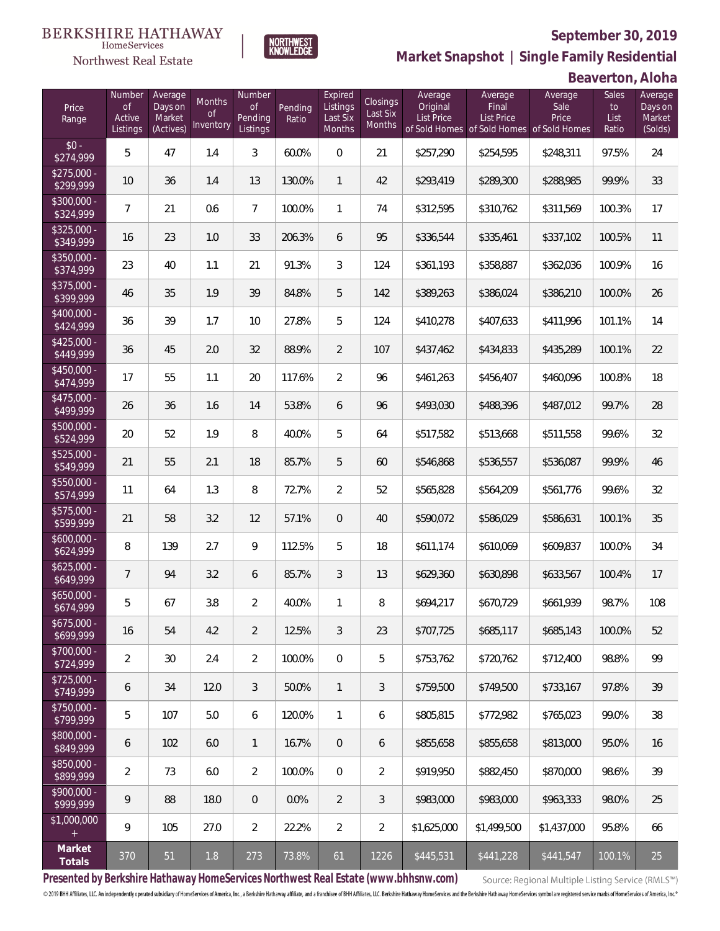

**NORTHWEST**<br>KNOWLEDGE

Northwest Real Estate

**Market Snapshot | Single Family Residential**

**Beaverton, Aloha**

| Price<br>Range            | Number<br>of<br>Active<br>Listings | Average<br>Days on<br>Market<br>(Actives) | Months<br>0f<br>Inventory | Number<br><b>of</b><br>Pending<br>Listings | Pending<br>Ratio | Expired<br>Listings<br>Last Six<br>Months | Closings<br>Last Six<br>Months | Average<br>Original<br><b>List Price</b> | Average<br>Final<br>List Price<br>of Sold Homes of Sold Homes | Average<br>Sale<br>Price<br>of Sold Homes | Sales<br>to<br>List<br>Ratio | Average<br>Days on<br>Market<br>(Solds) |
|---------------------------|------------------------------------|-------------------------------------------|---------------------------|--------------------------------------------|------------------|-------------------------------------------|--------------------------------|------------------------------------------|---------------------------------------------------------------|-------------------------------------------|------------------------------|-----------------------------------------|
| $$0 -$<br>\$274,999       | 5                                  | 47                                        | 1.4                       | 3                                          | 60.0%            | $\overline{0}$                            | 21                             | \$257,290                                | \$254,595                                                     | \$248,311                                 | 97.5%                        | 24                                      |
| $$275,000 -$<br>\$299,999 | 10                                 | 36                                        | 1.4                       | 13                                         | 130.0%           | $\mathbf{1}$                              | 42                             | \$293,419                                | \$289,300                                                     | \$288,985                                 | 99.9%                        | 33                                      |
| \$300,000 -<br>\$324,999  | $\overline{7}$                     | 21                                        | 0.6                       | $7\overline{ }$                            | 100.0%           | $\mathbf{1}$                              | 74                             | \$312,595                                | \$310,762                                                     | \$311,569                                 | 100.3%                       | 17                                      |
| $$325,000 -$<br>\$349,999 | 16                                 | 23                                        | 1.0                       | 33                                         | 206.3%           | 6                                         | 95                             | \$336,544                                | \$335,461                                                     | \$337,102                                 | 100.5%                       | 11                                      |
| $$350,000 -$<br>\$374,999 | 23                                 | 40                                        | 1.1                       | 21                                         | 91.3%            | 3                                         | 124                            | \$361,193                                | \$358,887                                                     | \$362,036                                 | 100.9%                       | 16                                      |
| $$375,000 -$<br>\$399,999 | 46                                 | 35                                        | 1.9                       | 39                                         | 84.8%            | 5                                         | 142                            | \$389,263                                | \$386,024                                                     | \$386,210                                 | 100.0%                       | 26                                      |
| $$400,000 -$<br>\$424,999 | 36                                 | 39                                        | 1.7                       | 10                                         | 27.8%            | 5                                         | 124                            | \$410,278                                | \$407,633                                                     | \$411,996                                 | 101.1%                       | 14                                      |
| $$425,000 -$<br>\$449,999 | 36                                 | 45                                        | 2.0                       | 32                                         | 88.9%            | $\overline{2}$                            | 107                            | \$437,462                                | \$434,833                                                     | \$435,289                                 | 100.1%                       | 22                                      |
| $$450,000 -$<br>\$474,999 | 17                                 | 55                                        | 1.1                       | 20                                         | 117.6%           | $\overline{2}$                            | 96                             | \$461,263                                | \$456,407                                                     | \$460,096                                 | 100.8%                       | 18                                      |
| $$475,000 -$<br>\$499,999 | 26                                 | 36                                        | 1.6                       | 14                                         | 53.8%            | 6                                         | 96                             | \$493,030                                | \$488,396                                                     | \$487,012                                 | 99.7%                        | 28                                      |
| $$500,000 -$<br>\$524,999 | 20                                 | 52                                        | 1.9                       | 8                                          | 40.0%            | 5                                         | 64                             | \$517,582                                | \$513,668                                                     | \$511,558                                 | 99.6%                        | 32                                      |
| $$525,000 -$<br>\$549,999 | 21                                 | 55                                        | 2.1                       | 18                                         | 85.7%            | 5                                         | 60                             | \$546,868                                | \$536,557                                                     | \$536,087                                 | 99.9%                        | 46                                      |
| $$550,000 -$<br>\$574,999 | 11                                 | 64                                        | 1.3                       | 8                                          | 72.7%            | $\overline{2}$                            | 52                             | \$565,828                                | \$564,209                                                     | \$561,776                                 | 99.6%                        | 32                                      |
| \$575,000 -<br>\$599,999  | 21                                 | 58                                        | 3.2                       | 12                                         | 57.1%            | $\overline{0}$                            | 40                             | \$590,072                                | \$586,029                                                     | \$586,631                                 | 100.1%                       | 35                                      |
| $$600,000 -$<br>\$624,999 | 8                                  | 139                                       | 2.7                       | 9                                          | 112.5%           | 5                                         | 18                             | \$611,174                                | \$610,069                                                     | \$609,837                                 | 100.0%                       | 34                                      |
| $$625,000 -$<br>\$649,999 | $\overline{7}$                     | 94                                        | 3.2                       | 6                                          | 85.7%            | 3                                         | 13                             | \$629,360                                | \$630,898                                                     | \$633,567                                 | 100.4%                       | 17                                      |
| $$650,000 -$<br>\$674,999 | 5                                  | 67                                        | 3.8                       | $\overline{2}$                             | 40.0%            | $\mathbf{1}$                              | 8                              | \$694,217                                | \$670,729                                                     | \$661,939                                 | 98.7%                        | 108                                     |
| $$675,000 -$<br>\$699,999 | 16                                 | 54                                        | 4.2                       | $\overline{2}$                             | 12.5%            | 3                                         | 23                             | \$707,725                                | \$685,117                                                     | \$685,143                                 | 100.0%                       | 52                                      |
| $$700,000 -$<br>\$724,999 | $\overline{2}$                     | 30                                        | 2.4                       | $\overline{2}$                             | 100.0%           | $\overline{0}$                            | 5                              | \$753,762                                | \$720,762                                                     | \$712,400                                 | 98.8%                        | 99                                      |
| $$725,000 -$<br>\$749,999 | 6                                  | 34                                        | 12.0                      | 3                                          | 50.0%            | $\mathbf{1}$                              | 3                              | \$759,500                                | \$749,500                                                     | \$733,167                                 | 97.8%                        | 39                                      |
| $$750,000 -$<br>\$799,999 | 5                                  | 107                                       | 5.0                       | 6                                          | 120.0%           | $\mathbf{1}$                              | 6                              | \$805,815                                | \$772,982                                                     | \$765,023                                 | 99.0%                        | 38                                      |
| $$800,000 -$<br>\$849,999 | 6                                  | 102                                       | 6.0                       | $\overline{1}$                             | 16.7%            | $\overline{0}$                            | 6                              | \$855,658                                | \$855,658                                                     | \$813,000                                 | 95.0%                        | 16                                      |
| \$850,000 -<br>\$899,999  | $\overline{2}$                     | 73                                        | 6.0                       | $\overline{2}$                             | 100.0%           | $\boldsymbol{0}$                          | $\overline{2}$                 | \$919,950                                | \$882,450                                                     | \$870,000                                 | 98.6%                        | 39                                      |
| $$900,000 -$<br>\$999,999 | 9                                  | 88                                        | 18.0                      | $\overline{0}$                             | 0.0%             | $\overline{2}$                            | 3                              | \$983,000                                | \$983,000                                                     | \$963,333                                 | 98.0%                        | 25                                      |
| \$1,000,000<br>$+$        | 9                                  | 105                                       | 27.0                      | $\overline{2}$                             | 22.2%            | $\overline{2}$                            | $\overline{2}$                 | \$1,625,000                              | \$1,499,500                                                   | \$1,437,000                               | 95.8%                        | 66                                      |
| Market<br>Totals          | 370                                | 51                                        | 1.8                       | 273                                        | 73.8%            | 61                                        | 1226                           | \$445,531                                | \$441,228                                                     | \$441,547                                 | 100.1%                       | 25                                      |

**Presented by Berkshire Hathaway HomeServices Northwest Real Estate (www.bhhsnw.com)**

Source: Regional Multiple Listing Service (RMLS™)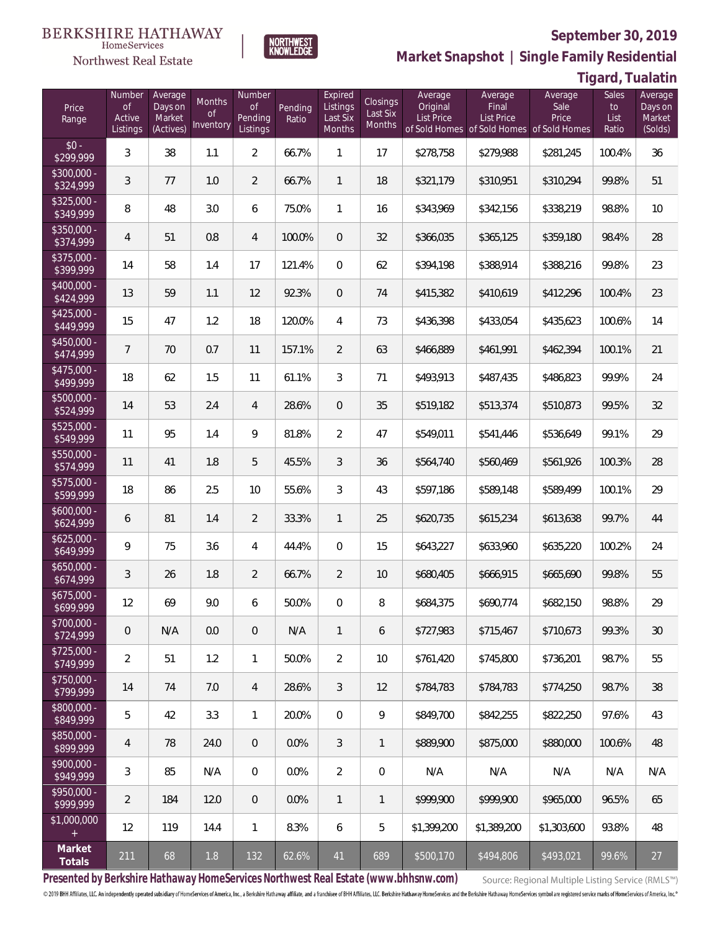

**NORTHWEST**<br>KNOWLEDGE

Northwest Real Estate

**Market Snapshot | Single Family Residential**

**Tigard, Tualatin**

| Price<br>Range            | Number<br><b>of</b><br>Active<br>Listings | Average<br>Days on<br>Market<br>(Actives) | Months<br>0f<br>Inventory | Number<br><b>of</b><br>Pending<br>Listings | Pending<br>Ratio | Expired<br>Listings<br>Last Six<br>Months | <b>Closings</b><br>Last Six<br>Months | Average<br>Original<br>List Price | Average<br>Final<br><b>List Price</b><br>of Sold Homes of Sold Homes of Sold Homes | Average<br>Sale<br>Price | Sales<br>to<br>List<br>Ratio | Average<br>Days on<br>Market<br>(Solds) |
|---------------------------|-------------------------------------------|-------------------------------------------|---------------------------|--------------------------------------------|------------------|-------------------------------------------|---------------------------------------|-----------------------------------|------------------------------------------------------------------------------------|--------------------------|------------------------------|-----------------------------------------|
| $$0 -$<br>\$299,999       | 3                                         | 38                                        | 1.1                       | $\overline{2}$                             | 66.7%            | $\mathbf{1}$                              | 17                                    | \$278,758                         | \$279,988                                                                          | \$281,245                | 100.4%                       | 36                                      |
| $$300,000 -$<br>\$324,999 | 3                                         | 77                                        | 1.0                       | $\overline{2}$                             | 66.7%            | $\mathbf{1}$                              | 18                                    | \$321,179                         | \$310,951                                                                          | \$310,294                | 99.8%                        | 51                                      |
| $$325,000 -$<br>\$349,999 | 8                                         | 48                                        | 3.0                       | 6                                          | 75.0%            | $\mathbf{1}$                              | 16                                    | \$343,969                         | \$342,156                                                                          | \$338,219                | 98.8%                        | 10                                      |
| $$350,000 -$<br>\$374,999 | $\overline{4}$                            | 51                                        | 0.8                       | $\overline{4}$                             | 100.0%           | $\overline{0}$                            | 32                                    | \$366,035                         | \$365,125                                                                          | \$359,180                | 98.4%                        | 28                                      |
| $$375,000 -$<br>\$399,999 | 14                                        | 58                                        | 1.4                       | 17                                         | 121.4%           | $\mathbf{0}$                              | 62                                    | \$394,198                         | \$388,914                                                                          | \$388,216                | 99.8%                        | 23                                      |
| $$400,000 -$<br>\$424,999 | 13                                        | 59                                        | 1.1                       | 12                                         | 92.3%            | $\overline{0}$                            | 74                                    | \$415,382                         | \$410,619                                                                          | \$412,296                | 100.4%                       | 23                                      |
| $$425,000 -$<br>\$449,999 | 15                                        | 47                                        | 1.2                       | 18                                         | 120.0%           | 4                                         | 73                                    | \$436,398                         | \$433,054                                                                          | \$435,623                | 100.6%                       | 14                                      |
| $$450,000 -$<br>\$474,999 | $\overline{7}$                            | 70                                        | 0.7                       | 11                                         | 157.1%           | $\overline{2}$                            | 63                                    | \$466,889                         | \$461,991                                                                          | \$462,394                | 100.1%                       | 21                                      |
| $$475,000 -$<br>\$499,999 | 18                                        | 62                                        | 1.5                       | 11                                         | 61.1%            | 3                                         | 71                                    | \$493,913                         | \$487,435                                                                          | \$486,823                | 99.9%                        | 24                                      |
| $$500,000 -$<br>\$524,999 | 14                                        | 53                                        | 2.4                       | $\overline{4}$                             | 28.6%            | $\overline{0}$                            | 35                                    | \$519,182                         | \$513,374                                                                          | \$510,873                | 99.5%                        | 32                                      |
| $$525,000 -$<br>\$549,999 | 11                                        | 95                                        | 1.4                       | 9                                          | 81.8%            | $\overline{2}$                            | 47                                    | \$549,011                         | \$541,446                                                                          | \$536,649                | 99.1%                        | 29                                      |
| \$550,000 -<br>\$574,999  | 11                                        | 41                                        | 1.8                       | 5                                          | 45.5%            | 3                                         | 36                                    | \$564,740                         | \$560,469                                                                          | \$561,926                | 100.3%                       | 28                                      |
| $$575,000 -$<br>\$599,999 | 18                                        | 86                                        | 2.5                       | 10                                         | 55.6%            | 3                                         | 43                                    | \$597,186                         | \$589,148                                                                          | \$589,499                | 100.1%                       | 29                                      |
| $$600,000 -$<br>\$624,999 | 6                                         | 81                                        | 1.4                       | $\overline{2}$                             | 33.3%            | $\mathbf{1}$                              | 25                                    | \$620,735                         | \$615,234                                                                          | \$613,638                | 99.7%                        | 44                                      |
| $$625,000 -$<br>\$649,999 | 9                                         | 75                                        | 3.6                       | 4                                          | 44.4%            | $\overline{0}$                            | 15                                    | \$643,227                         | \$633,960                                                                          | \$635,220                | 100.2%                       | 24                                      |
| $$650,000 -$<br>\$674,999 | 3                                         | 26                                        | 1.8                       | $\overline{2}$                             | 66.7%            | $\overline{2}$                            | 10                                    | \$680,405                         | \$666,915                                                                          | \$665,690                | 99.8%                        | 55                                      |
| $$675,000 -$<br>\$699,999 | 12                                        | 69                                        | 9.0                       | 6                                          | 50.0%            | $\overline{0}$                            | 8                                     | \$684,375                         | \$690,774                                                                          | \$682,150                | 98.8%                        | 29                                      |
| \$700,000 -<br>\$724,999  | 0                                         | N/A                                       | 0.0                       | $\theta$                                   | N/A              | $\mathbf{1}$                              | 6                                     | \$727,983                         | \$715,467                                                                          | \$710,673                | 99.3%                        | 30                                      |
| $$725,000 -$<br>\$749,999 | $\overline{2}$                            | 51                                        | 1.2                       | $\mathbf{1}$                               | 50.0%            | $\overline{2}$                            | 10                                    | \$761,420                         | \$745,800                                                                          | \$736,201                | 98.7%                        | 55                                      |
| $$750,000 -$<br>\$799,999 | 14                                        | 74                                        | 7.0                       | 4                                          | 28.6%            | 3                                         | 12                                    | \$784,783                         | \$784,783                                                                          | \$774,250                | 98.7%                        | 38                                      |
| \$800,000 -<br>\$849,999  | 5                                         | 42                                        | 3.3                       | $\mathbf{1}$                               | 20.0%            | $\overline{0}$                            | 9                                     | \$849,700                         | \$842,255                                                                          | \$822,250                | 97.6%                        | 43                                      |
| \$850,000 -<br>\$899,999  | $\overline{4}$                            | 78                                        | 24.0                      | $\overline{0}$                             | 0.0%             | 3                                         | $\mathbf{1}$                          | \$889,900                         | \$875,000                                                                          | \$880,000                | 100.6%                       | 48                                      |
| $$900,000 -$<br>\$949,999 | 3                                         | 85                                        | N/A                       | $\mathbf 0$                                | 0.0%             | $\overline{2}$                            | $\mathbf 0$                           | N/A                               | N/A                                                                                | N/A                      | N/A                          | N/A                                     |
| $$950,000 -$<br>\$999,999 | $\overline{2}$                            | 184                                       | 12.0                      | $\overline{0}$                             | 0.0%             | $\mathbf{1}$                              | 1                                     | \$999,900                         | \$999,900                                                                          | \$965,000                | 96.5%                        | 65                                      |
| \$1,000,000<br>$+$        | 12                                        | 119                                       | 14.4                      | $\mathbf{1}$                               | 8.3%             | 6                                         | 5                                     | \$1,399,200                       | \$1,389,200                                                                        | \$1,303,600              | 93.8%                        | 48                                      |
| Market<br>Totals          | 211                                       | 68                                        | 1.8                       | 132                                        | 62.6%            | 41                                        | 689                                   | \$500,170                         | \$494,806                                                                          | \$493,021                | 99.6%                        | 27                                      |

**Presented by Berkshire Hathaway HomeServices Northwest Real Estate (www.bhhsnw.com)**

Source: Regional Multiple Listing Service (RMLS™)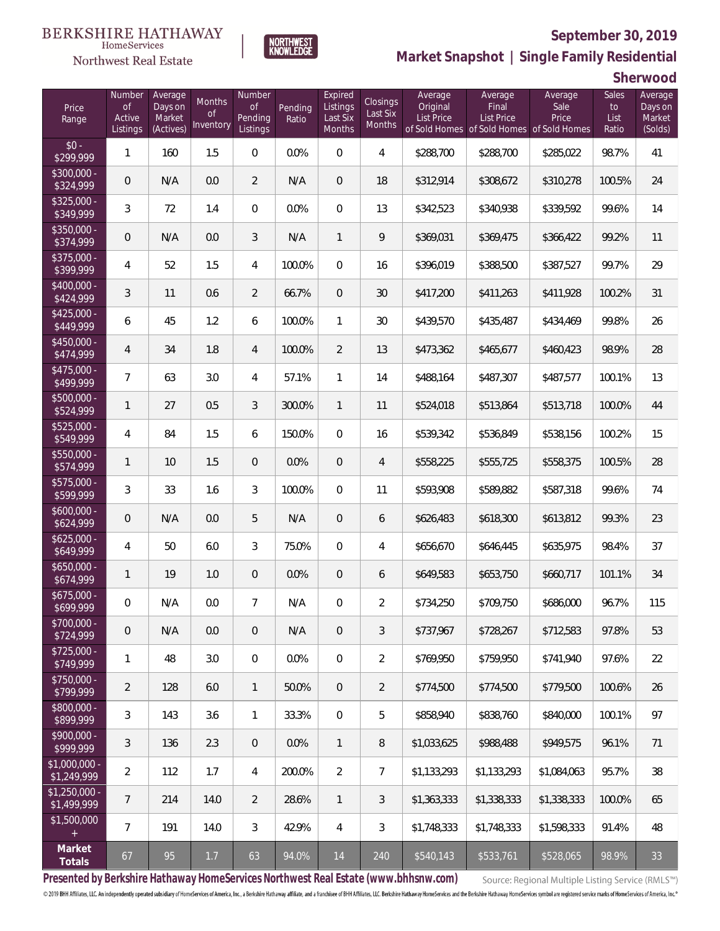

Northwest Real Estate



**Market Snapshot | Single Family Residential**

**Sherwood**

| Price<br>Range                | Number<br><b>of</b><br>Active<br>Listings | Average<br>Days on<br>Market<br>(Actives) | Months<br><b>of</b><br>Inventory | Number<br><b>of</b><br>Pending<br>Listings | Pending<br>Ratio | Expired<br>Listings<br>Last Six<br>Months | Closings<br>Last Six<br>Months | Average<br>Original<br><b>List Price</b> | Average<br>Final<br><b>List Price</b> | Average<br>Sale<br>Price<br>of Sold Homes of Sold Homes of Sold Homes | Sales<br>to<br>List<br>Ratio | Average<br>Days on<br>Market<br>(Solds) |
|-------------------------------|-------------------------------------------|-------------------------------------------|----------------------------------|--------------------------------------------|------------------|-------------------------------------------|--------------------------------|------------------------------------------|---------------------------------------|-----------------------------------------------------------------------|------------------------------|-----------------------------------------|
| $$0 -$<br>$\sqrt{$299,999}$   | 1                                         | 160                                       | 1.5                              | $\overline{0}$                             | 0.0%             | $\overline{0}$                            | $\overline{4}$                 | \$288,700                                | \$288,700                             | \$285,022                                                             | 98.7%                        | 41                                      |
| $$300,000 -$<br>\$324,999     | 0                                         | N/A                                       | 0.0                              | $\overline{2}$                             | N/A              | $\overline{0}$                            | 18                             | \$312,914                                | \$308,672                             | \$310,278                                                             | 100.5%                       | 24                                      |
| $$325,000 -$<br>\$349,999     | $\mathfrak{Z}$                            | 72                                        | 1.4                              | $\overline{0}$                             | 0.0%             | $\overline{0}$                            | 13                             | \$342,523                                | \$340,938                             | \$339,592                                                             | 99.6%                        | 14                                      |
| $$350,000 -$<br>\$374,999     | 0                                         | N/A                                       | 0.0                              | 3                                          | N/A              | $\mathbf{1}$                              | 9                              | \$369,031                                | \$369,475                             | \$366,422                                                             | 99.2%                        | 11                                      |
| \$375,000 -<br>\$399,999      | 4                                         | 52                                        | 1.5                              | $\overline{4}$                             | 100.0%           | $\overline{0}$                            | 16                             | \$396,019                                | \$388,500                             | \$387,527                                                             | 99.7%                        | 29                                      |
| \$400,000 -<br>\$424,999      | 3                                         | 11                                        | 0.6                              | $\overline{2}$                             | 66.7%            | $\overline{0}$                            | 30                             | \$417,200                                | \$411,263                             | \$411,928                                                             | 100.2%                       | 31                                      |
| $$425,000 -$<br>\$449,999     | 6                                         | 45                                        | 1.2                              | 6                                          | 100.0%           | $\mathbf{1}$                              | 30                             | \$439,570                                | \$435,487                             | \$434,469                                                             | 99.8%                        | 26                                      |
| $$450,000 -$<br>\$474,999     | $\overline{4}$                            | 34                                        | 1.8                              | $\overline{4}$                             | 100.0%           | $\overline{2}$                            | 13                             | \$473,362                                | \$465,677                             | \$460,423                                                             | 98.9%                        | 28                                      |
| $$475,000 -$<br>\$499,999     | 7                                         | 63                                        | 3.0                              | $\overline{4}$                             | 57.1%            | $\mathbf{1}$                              | 14                             | \$488,164                                | \$487,307                             | \$487,577                                                             | 100.1%                       | 13                                      |
| \$500,000 -<br>\$524,999      | $\mathbf{1}$                              | 27                                        | 0.5                              | $\mathfrak{Z}$                             | 300.0%           | $\mathbf{1}$                              | 11                             | \$524,018                                | \$513,864                             | \$513,718                                                             | 100.0%                       | 44                                      |
| \$525,000 -<br>\$549,999      | 4                                         | 84                                        | 1.5                              | 6                                          | 150.0%           | $\overline{0}$                            | 16                             | \$539,342                                | \$536,849                             | \$538,156                                                             | 100.2%                       | 15                                      |
| $$550,000 -$<br>\$574,999     | $\mathbf{1}$                              | 10                                        | 1.5                              | $\overline{0}$                             | 0.0%             | $\overline{0}$                            | $\overline{4}$                 | \$558,225                                | \$555,725                             | \$558,375                                                             | 100.5%                       | 28                                      |
| $$575,000 -$<br>\$599,999     | 3                                         | 33                                        | 1.6                              | 3                                          | 100.0%           | $\Omega$                                  | 11                             | \$593,908                                | \$589,882                             | \$587,318                                                             | 99.6%                        | 74                                      |
| $$600,000 -$<br>\$624,999     | 0                                         | N/A                                       | 0.0                              | 5                                          | N/A              | $\overline{0}$                            | 6                              | \$626,483                                | \$618,300                             | \$613,812                                                             | 99.3%                        | 23                                      |
| $$625,000 -$<br>\$649,999     | 4                                         | 50                                        | 6.0                              | 3                                          | 75.0%            | $\overline{0}$                            | $\overline{4}$                 | \$656,670                                | \$646,445                             | \$635,975                                                             | 98.4%                        | 37                                      |
| $$650,000 -$<br>\$674,999     | $\mathbf{1}$                              | 19                                        | 1.0                              | $\overline{0}$                             | 0.0%             | $\overline{0}$                            | 6                              | \$649,583                                | \$653,750                             | \$660,717                                                             | 101.1%                       | 34                                      |
| $$675,000 -$<br>\$699,999     | 0                                         | N/A                                       | 0.0                              | $\overline{7}$                             | N/A              | $\overline{0}$                            | $\overline{2}$                 | \$734,250                                | \$709,750                             | \$686,000                                                             | 96.7%                        | 115                                     |
| \$700,000 -<br>\$724,999      | $\mathbf 0$                               | N/A                                       | 0.0                              | $\mathbf 0$                                | N/A              | $\mathbf 0$                               | $\mathfrak{Z}$                 | \$737,967                                | \$728,267                             | \$712,583                                                             | 97.8%                        | 53                                      |
| $$725,000 -$<br>\$749,999     | $\mathbf{1}$                              | 48                                        | 3.0                              | $\mathbf 0$                                | 0.0%             | $\mathbf 0$                               | $\overline{2}$                 | \$769,950                                | \$759,950                             | \$741,940                                                             | 97.6%                        | 22                                      |
| $$750,000 -$<br>\$799,999     | $\overline{2}$                            | 128                                       | 6.0                              | $\mathbf{1}$                               | 50.0%            | $\sqrt{0}$                                | $\overline{2}$                 | \$774,500                                | \$774,500                             | \$779,500                                                             | 100.6%                       | 26                                      |
| \$800,000 -<br>\$899,999      | 3                                         | 143                                       | 3.6                              | $\mathbf{1}$                               | 33.3%            | $\mathbf 0$                               | 5                              | \$858,940                                | \$838,760                             | \$840,000                                                             | 100.1%                       | 97                                      |
| \$900,000 -<br>\$999,999      | $\mathfrak{Z}$                            | 136                                       | 2.3                              | $\overline{0}$                             | 0.0%             | $\mathbf{1}$                              | 8                              | \$1,033,625                              | \$988,488                             | \$949,575                                                             | 96.1%                        | 71                                      |
| \$1,000,000 -<br>\$1,249,999  | $\overline{2}$                            | 112                                       | 1.7                              | $\overline{4}$                             | 200.0%           | $\overline{2}$                            | $\overline{7}$                 | \$1,133,293                              | \$1,133,293                           | \$1,084,063                                                           | 95.7%                        | 38                                      |
| $$1,250,000$ -<br>\$1,499,999 | $\overline{7}$                            | 214                                       | 14.0                             | $\overline{2}$                             | 28.6%            | $\overline{1}$                            | $\mathfrak{Z}$                 | \$1,363,333                              | \$1,338,333                           | \$1,338,333                                                           | 100.0%                       | 65                                      |
| \$1,500,000<br>$\pm$          | 7                                         | 191                                       | 14.0                             | 3                                          | 42.9%            | $\overline{4}$                            | 3                              | \$1,748,333                              | \$1,748,333                           | \$1,598,333                                                           | 91.4%                        | 48                                      |
| Market<br>Totals              | 67                                        | 95                                        | $1.7$                            | 63                                         | 94.0%            | 14                                        | 240                            | \$540,143                                | \$533,761                             | \$528,065                                                             | 98.9%                        | 33                                      |

**Presented by Berkshire Hathaway HomeServices Northwest Real Estate (www.bhhsnw.com)**

Source: Regional Multiple Listing Service (RMLS™)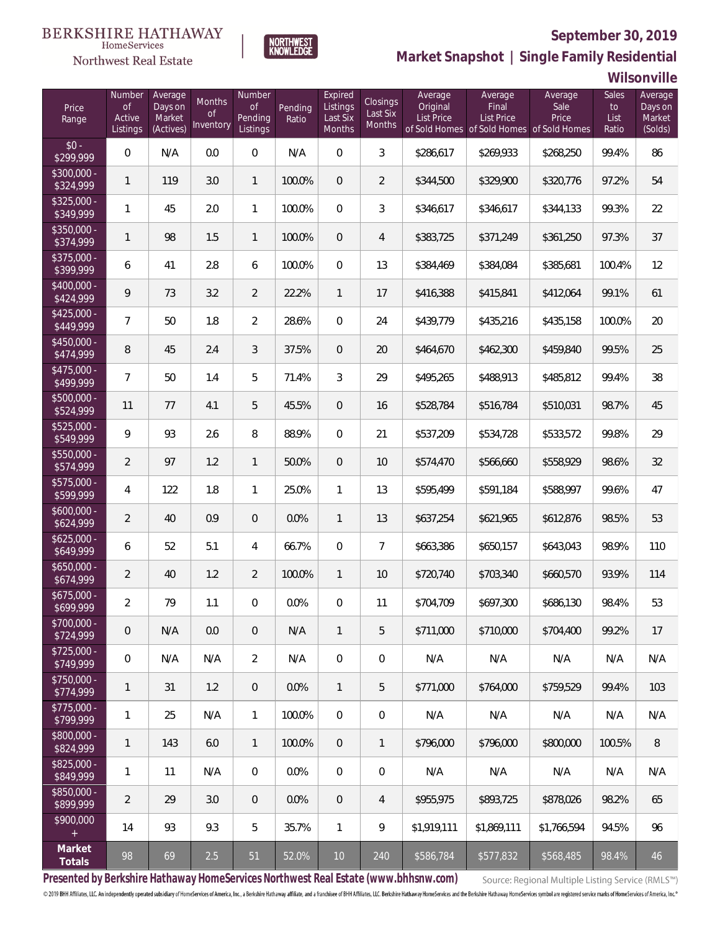

Northwest Real Estate



**Market Snapshot | Single Family Residential**

**Wilsonville**

| Price<br>Range            | Number<br>of<br>Active<br>Listings | Average<br>Days on<br>Market<br>(Actives) | Months<br>Οf<br>Inventory | Number<br><b>of</b><br>Pending<br>Listings | Pending<br>Ratio | Expired<br>Listings<br>Last Six<br>Months | Closings<br>Last Six<br>Months | Average<br>Original<br><b>List Price</b> | Average<br>Final<br>List Price<br>of Sold Homes of Sold Homes of Sold Homes | Average<br>Sale<br>Price | Sales<br>to<br>List<br>Ratio | Average<br>Days on<br>Market<br>(Solds) |
|---------------------------|------------------------------------|-------------------------------------------|---------------------------|--------------------------------------------|------------------|-------------------------------------------|--------------------------------|------------------------------------------|-----------------------------------------------------------------------------|--------------------------|------------------------------|-----------------------------------------|
| $$0 -$<br>\$299,999       | $\overline{0}$                     | N/A                                       | 0.0                       | $\overline{0}$                             | N/A              | $\overline{0}$                            | $\mathfrak{Z}$                 | \$286,617                                | \$269,933                                                                   | \$268,250                | 99.4%                        | 86                                      |
| $$300,000 -$<br>\$324,999 | $\mathbf{1}$                       | 119                                       | 3.0                       | $\mathbf{1}$                               | 100.0%           | $\overline{0}$                            | $\overline{2}$                 | \$344,500                                | \$329,900                                                                   | \$320,776                | 97.2%                        | 54                                      |
| $$325,000 -$<br>\$349,999 | 1                                  | 45                                        | 2.0                       | $\mathbf{1}$                               | 100.0%           | $\overline{0}$                            | 3                              | \$346,617                                | \$346,617                                                                   | \$344,133                | 99.3%                        | 22                                      |
| $$350,000 -$<br>\$374,999 | $\mathbf{1}$                       | 98                                        | 1.5                       | $\mathbf{1}$                               | 100.0%           | $\overline{0}$                            | $\overline{4}$                 | \$383,725                                | \$371,249                                                                   | \$361,250                | 97.3%                        | 37                                      |
| $$375,000 -$<br>\$399,999 | 6                                  | 41                                        | 2.8                       | 6                                          | 100.0%           | $\overline{0}$                            | 13                             | \$384,469                                | \$384,084                                                                   | \$385,681                | 100.4%                       | 12                                      |
| $$400,000 -$<br>\$424,999 | 9                                  | 73                                        | 3.2                       | $\overline{2}$                             | 22.2%            | $\mathbf{1}$                              | 17                             | \$416,388                                | \$415,841                                                                   | \$412,064                | 99.1%                        | 61                                      |
| $$425,000 -$<br>\$449,999 | 7                                  | 50                                        | 1.8                       | $\overline{2}$                             | 28.6%            | $\overline{0}$                            | 24                             | \$439,779                                | \$435,216                                                                   | \$435,158                | 100.0%                       | 20                                      |
| $$450,000 -$<br>\$474,999 | 8                                  | 45                                        | 2.4                       | 3                                          | 37.5%            | $\overline{0}$                            | 20                             | \$464,670                                | \$462,300                                                                   | \$459,840                | 99.5%                        | 25                                      |
| $$475,000 -$<br>\$499,999 | 7                                  | 50                                        | 1.4                       | 5                                          | 71.4%            | 3                                         | 29                             | \$495,265                                | \$488,913                                                                   | \$485,812                | 99.4%                        | 38                                      |
| $$500,000 -$<br>\$524,999 | 11                                 | 77                                        | 4.1                       | 5                                          | 45.5%            | $\overline{0}$                            | 16                             | \$528,784                                | \$516,784                                                                   | \$510,031                | 98.7%                        | 45                                      |
| $$525,000 -$<br>\$549,999 | 9                                  | 93                                        | 2.6                       | $\, 8$                                     | 88.9%            | $\overline{0}$                            | 21                             | \$537,209                                | \$534,728                                                                   | \$533,572                | 99.8%                        | 29                                      |
| $$550,000 -$<br>\$574,999 | $\overline{2}$                     | 97                                        | 1.2                       | $\mathbf{1}$                               | 50.0%            | $\overline{0}$                            | 10                             | \$574,470                                | \$566,660                                                                   | \$558,929                | 98.6%                        | 32                                      |
| $$575,000 -$<br>\$599,999 | 4                                  | 122                                       | 1.8                       | $\mathbf{1}$                               | 25.0%            | $\mathbf{1}$                              | 13                             | \$595,499                                | \$591,184                                                                   | \$588,997                | 99.6%                        | 47                                      |
| $$600,000 -$<br>\$624,999 | $\overline{2}$                     | 40                                        | 0.9                       | $\overline{0}$                             | 0.0%             | $\mathbf{1}$                              | 13                             | \$637,254                                | \$621,965                                                                   | \$612,876                | 98.5%                        | 53                                      |
| $$625,000 -$<br>\$649,999 | 6                                  | 52                                        | 5.1                       | $\overline{4}$                             | 66.7%            | $\overline{0}$                            | $\overline{7}$                 | \$663,386                                | \$650,157                                                                   | \$643,043                | 98.9%                        | 110                                     |
| $$650,000 -$<br>\$674,999 | $\overline{2}$                     | 40                                        | 1.2                       | $\overline{2}$                             | 100.0%           | $\mathbf{1}$                              | 10                             | \$720,740                                | \$703,340                                                                   | \$660,570                | 93.9%                        | 114                                     |
| $$675,000 -$<br>\$699,999 | $\overline{a}$                     | 79                                        | 1.1                       | $\overline{0}$                             | 0.0%             | $\overline{0}$                            | 11                             | \$704,709                                | \$697,300                                                                   | \$686,130                | 98.4%                        | 53                                      |
| $$700,000 -$<br>\$724,999 | 0                                  | N/A                                       | 0.0                       | $\overline{0}$                             | N/A              | $\mathbf{1}$                              | 5                              | \$711,000                                | \$710,000                                                                   | \$704,400                | 99.2%                        | 17                                      |
| $$725,000 -$<br>\$749,999 | $\mathbf 0$                        | N/A                                       | N/A                       | $\overline{2}$                             | N/A              | $\mathbf 0$                               | $\mathbf 0$                    | N/A                                      | N/A                                                                         | N/A                      | N/A                          | N/A                                     |
| $$750,000 -$<br>\$774,999 | 1                                  | 31                                        | 1.2                       | $\overline{0}$                             | 0.0%             | $\mathbf{1}$                              | 5                              | \$771,000                                | \$764,000                                                                   | \$759,529                | 99.4%                        | 103                                     |
| $$775,000 -$<br>\$799,999 | 1                                  | 25                                        | N/A                       | $\mathbf{1}$                               | 100.0%           | $\mathbf 0$                               | 0                              | N/A                                      | N/A                                                                         | N/A                      | N/A                          | N/A                                     |
| \$800,000 -<br>\$824,999  | 1                                  | 143                                       | 6.0                       | $\mathbf{1}$                               | 100.0%           | $\overline{0}$                            | $\mathbf{1}$                   | \$796,000                                | \$796,000                                                                   | \$800,000                | 100.5%                       | 8                                       |
| $$825,000 -$<br>\$849,999 | 1                                  | 11                                        | N/A                       | $\overline{0}$                             | 0.0%             | $\mathbf 0$                               | 0                              | N/A                                      | N/A                                                                         | N/A                      | N/A                          | N/A                                     |
| $$850,000 -$<br>\$899,999 | $\overline{2}$                     | 29                                        | 3.0                       | $\overline{0}$                             | 0.0%             | $\mathbf 0$                               | $\overline{4}$                 | \$955,975                                | \$893,725                                                                   | \$878,026                | 98.2%                        | 65                                      |
| \$900,000<br>$+$          | 14                                 | 93                                        | 9.3                       | 5                                          | 35.7%            | $\mathbf{1}$                              | 9                              | \$1,919,111                              | \$1,869,111                                                                 | \$1,766,594              | 94.5%                        | 96                                      |
| Market<br>Totals          | 98                                 | 69                                        | $2.5\,$                   | 51                                         | 52.0%            | $10$                                      | 240                            | \$586,784                                | \$577,832                                                                   | \$568,485                | 98.4%                        | 46                                      |

**Presented by Berkshire Hathaway HomeServices Northwest Real Estate (www.bhhsnw.com)**

Source: Regional Multiple Listing Service (RMLS™)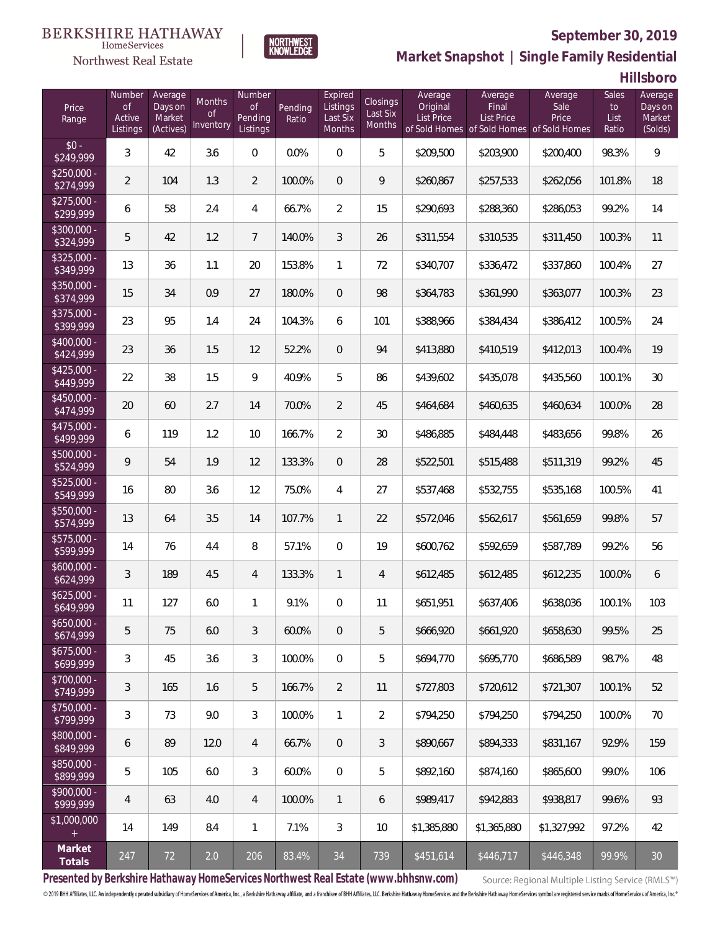

Northwest Real Estate

**Market Snapshot | Single Family Residential**

**Hillsboro**

| Price<br>Range            | Number<br>$\mathsf{of}$<br>Active<br>Listings | Average<br>Days on<br>Market<br>(Actives) | Months<br><b>of</b><br>Inventory | Number<br>Οf<br>Pending<br>Listings | Pending<br>Ratio | Expired<br>Listings<br>Last Six<br>Months | Closings<br>Last Six<br>Months | Average<br>Original<br>List Price | Average<br>Final<br><b>List Price</b><br>of Sold Homes of Sold Homes of Sold Homes | Average<br>Sale<br>Price | Sales<br>to<br>List<br>Ratio | Average<br>Days on<br>Market<br>(Solds) |
|---------------------------|-----------------------------------------------|-------------------------------------------|----------------------------------|-------------------------------------|------------------|-------------------------------------------|--------------------------------|-----------------------------------|------------------------------------------------------------------------------------|--------------------------|------------------------------|-----------------------------------------|
| $$0 -$<br>\$249,999       | 3                                             | 42                                        | 3.6                              | $\overline{0}$                      | 0.0%             | $\overline{0}$                            | 5                              | \$209,500                         | \$203,900                                                                          | \$200,400                | 98.3%                        | 9                                       |
| $$250.000 -$<br>\$274,999 | 2                                             | 104                                       | 1.3                              | $\overline{2}$                      | 100.0%           | $\overline{0}$                            | 9                              | \$260,867                         | \$257,533                                                                          | \$262,056                | 101.8%                       | 18                                      |
| $$275,000 -$<br>\$299,999 | 6                                             | 58                                        | 2.4                              | 4                                   | 66.7%            | $\overline{2}$                            | 15                             | \$290,693                         | \$288,360                                                                          | \$286,053                | 99.2%                        | 14                                      |
| $$300,000 -$<br>\$324,999 | 5                                             | 42                                        | 1.2                              | $7\overline{ }$                     | 140.0%           | 3                                         | 26                             | \$311,554                         | \$310,535                                                                          | \$311,450                | 100.3%                       | 11                                      |
| $$325,000 -$<br>\$349,999 | 13                                            | 36                                        | 1.1                              | 20                                  | 153.8%           | $\mathbf{1}$                              | 72                             | \$340,707                         | \$336,472                                                                          | \$337,860                | 100.4%                       | 27                                      |
| \$350,000 -<br>\$374,999  | 15                                            | 34                                        | 0.9                              | 27                                  | 180.0%           | $\overline{0}$                            | 98                             | \$364,783                         | \$361,990                                                                          | \$363,077                | 100.3%                       | 23                                      |
| $$375,000 -$<br>\$399,999 | 23                                            | 95                                        | 1.4                              | 24                                  | 104.3%           | 6                                         | 101                            | \$388,966                         | \$384,434                                                                          | \$386,412                | 100.5%                       | 24                                      |
| $$400,000 -$<br>\$424,999 | 23                                            | 36                                        | 1.5                              | 12                                  | 52.2%            | $\overline{0}$                            | 94                             | \$413,880                         | \$410,519                                                                          | \$412,013                | 100.4%                       | 19                                      |
| $$425,000 -$<br>\$449,999 | 22                                            | 38                                        | 1.5                              | 9                                   | 40.9%            | 5                                         | 86                             | \$439,602                         | \$435,078                                                                          | \$435,560                | 100.1%                       | 30                                      |
| $$450,000 -$<br>\$474,999 | 20                                            | 60                                        | 2.7                              | 14                                  | 70.0%            | $\overline{2}$                            | 45                             | \$464,684                         | \$460,635                                                                          | \$460,634                | 100.0%                       | 28                                      |
| $$475,000 -$<br>\$499,999 | 6                                             | 119                                       | 1.2                              | 10                                  | 166.7%           | $\overline{2}$                            | 30                             | \$486,885                         | \$484,448                                                                          | \$483,656                | 99.8%                        | 26                                      |
| \$500,000 -<br>\$524,999  | 9                                             | 54                                        | 1.9                              | 12                                  | 133.3%           | $\overline{0}$                            | 28                             | \$522,501                         | \$515,488                                                                          | \$511,319                | 99.2%                        | 45                                      |
| \$525,000 -<br>\$549,999  | 16                                            | 80                                        | 3.6                              | 12                                  | 75.0%            | 4                                         | 27                             | \$537,468                         | \$532,755                                                                          | \$535,168                | 100.5%                       | 41                                      |
| $$550,000 -$<br>\$574,999 | 13                                            | 64                                        | 3.5                              | 14                                  | 107.7%           | $\mathbf{1}$                              | 22                             | \$572,046                         | \$562,617                                                                          | \$561,659                | 99.8%                        | 57                                      |
| \$575,000 -<br>\$599,999  | 14                                            | 76                                        | 4.4                              | 8                                   | 57.1%            | $\overline{0}$                            | 19                             | \$600,762                         | \$592,659                                                                          | \$587,789                | 99.2%                        | 56                                      |
| $$600,000 -$<br>\$624,999 | 3                                             | 189                                       | 4.5                              | $\overline{4}$                      | 133.3%           | $\mathbf{1}$                              | $\overline{4}$                 | \$612,485                         | \$612,485                                                                          | \$612,235                | 100.0%                       | 6                                       |
| $$625,000 -$<br>\$649,999 | 11                                            | 127                                       | 6.0                              | 1                                   | 9.1%             | $\overline{0}$                            | 11                             | \$651,951                         | \$637,406                                                                          | \$638,036                | 100.1%                       | 103                                     |
| $$650,000 -$<br>\$674,999 | 5                                             | 75                                        | 6.0                              | 3                                   | 60.0%            | $\overline{0}$                            | 5                              | \$666,920                         | \$661,920                                                                          | \$658,630                | 99.5%                        | 25                                      |
| $$675,000 -$<br>\$699,999 | 3                                             | 45                                        | 3.6                              | 3                                   | 100.0%           | $\mathbf{0}$                              | 5                              | \$694,770                         | \$695,770                                                                          | \$686,589                | 98.7%                        | 48                                      |
| $$700,000 -$<br>\$749,999 | 3                                             | 165                                       | 1.6                              | 5                                   | 166.7%           | $\overline{2}$                            | 11                             | \$727,803                         | \$720,612                                                                          | \$721,307                | 100.1%                       | 52                                      |
| $$750.000 -$<br>\$799,999 | 3                                             | 73                                        | 9.0                              | 3                                   | 100.0%           | $\mathbf{1}$                              | 2                              | \$794,250                         | \$794,250                                                                          | \$794,250                | 100.0%                       | 70                                      |
| $$800,000 -$<br>\$849,999 | 6                                             | 89                                        | 12.0                             | $\overline{4}$                      | 66.7%            | $\overline{0}$                            | 3                              | \$890,667                         | \$894,333                                                                          | \$831,167                | 92.9%                        | 159                                     |
| \$850,000 -<br>\$899,999  | 5                                             | 105                                       | 6.0                              | 3                                   | 60.0%            | $\overline{0}$                            | 5                              | \$892,160                         | \$874,160                                                                          | \$865,600                | 99.0%                        | 106                                     |
| $$900,000 -$<br>\$999,999 | 4                                             | 63                                        | 4.0                              | 4                                   | 100.0%           | $\mathbf{1}$                              | 6                              | \$989,417                         | \$942,883                                                                          | \$938,817                | 99.6%                        | 93                                      |
| \$1,000,000               | 14                                            | 149                                       | 8.4                              | $\mathbf{1}$                        | 7.1%             | 3                                         | 10                             | \$1,385,880                       | \$1,365,880                                                                        | \$1,327,992              | 97.2%                        | 42                                      |
| Market<br>Totals          | 247                                           | 72                                        | 2.0                              | 206                                 | 83.4%            | 34                                        | 739                            | \$451,614                         | \$446,717                                                                          | \$446,348                | 99.9%                        | 30                                      |

**NORTHWEST**<br>KNOWLEDGE

**Presented by Berkshire Hathaway HomeServices Northwest Real Estate (www.bhhsnw.com)**

Source: Regional Multiple Listing Service (RMLS™)